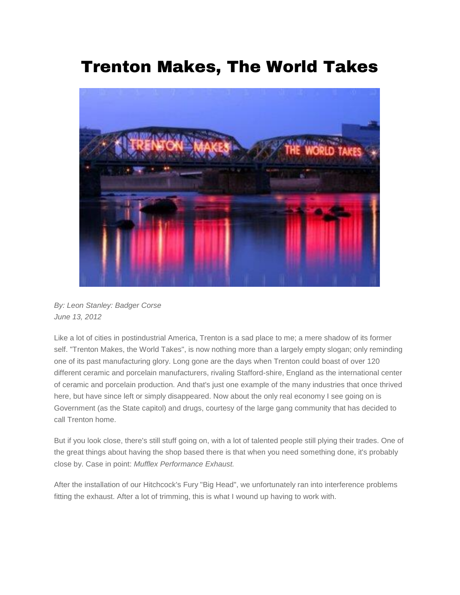## Trenton Makes, The World Takes



*By: Leon Stanley: Badger Corse June 13, 2012*

Like a lot of cities in postindustrial America, Trenton is a sad place to me; a mere shadow of its former self. "Trenton Makes, the World Takes", is now nothing more than a largely empty slogan; only reminding one of its past manufacturing glory. Long gone are the days when Trenton could boast of over 120 different ceramic and porcelain manufacturers, rivaling Stafford-shire, England as the international center of ceramic and porcelain production. And that's just one example of the many industries that once thrived here, but have since left or simply disappeared. Now about the only real economy I see going on is Government (as the State capitol) and drugs, courtesy of the large gang community that has decided to call Trenton home.

But if you look close, there's still stuff going on, with a lot of talented people still plying their trades. One of the great things about having the shop based there is that when you need something done, it's probably close by. Case in point: *Mufflex Performance Exhaust.*

After the installation of our Hitchcock's Fury "Big Head", we unfortunately ran into interference problems fitting the exhaust. After a lot of trimming, this is what I wound up having to work with.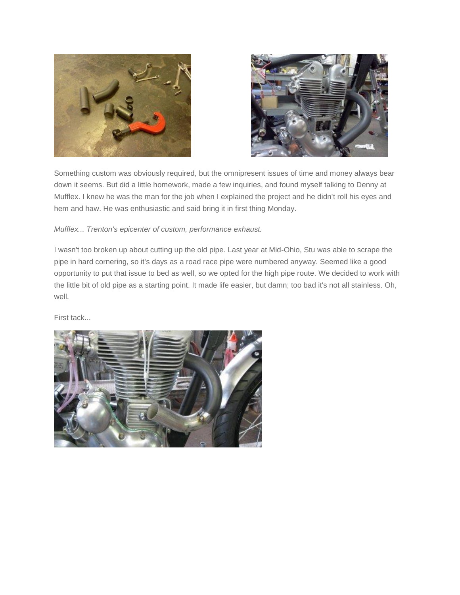



Something custom was obviously required, but the omnipresent issues of time and money always bear down it seems. But did a little homework, made a few inquiries, and found myself talking to Denny at Mufflex. I knew he was the man for the job when I explained the project and he didn't roll his eyes and hem and haw. He was enthusiastic and said bring it in first thing Monday.

*Mufflex... Trenton's epicenter of custom, performance exhaust.*

I wasn't too broken up about cutting up the old pipe. Last year at Mid-Ohio, Stu was able to scrape the pipe in hard cornering, so it's days as a road race pipe were numbered anyway. Seemed like a good opportunity to put that issue to bed as well, so we opted for the high pipe route. We decided to work with the little bit of old pipe as a starting point. It made life easier, but damn; too bad it's not all stainless. Oh, well.

First tack...

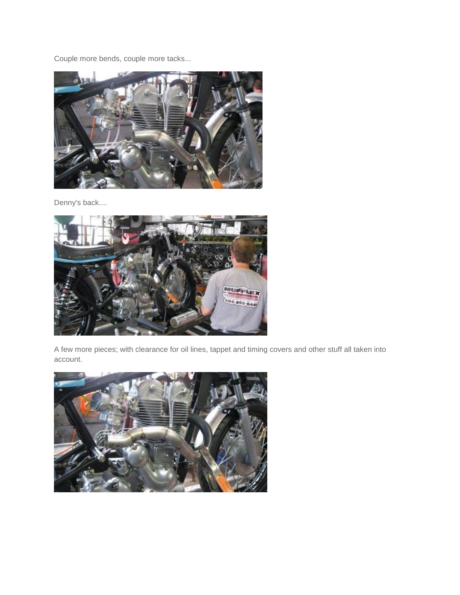Couple more bends, couple more tacks...



Denny's back....



A few more pieces; with clearance for oil lines, tappet and timing covers and other stuff all taken into account.

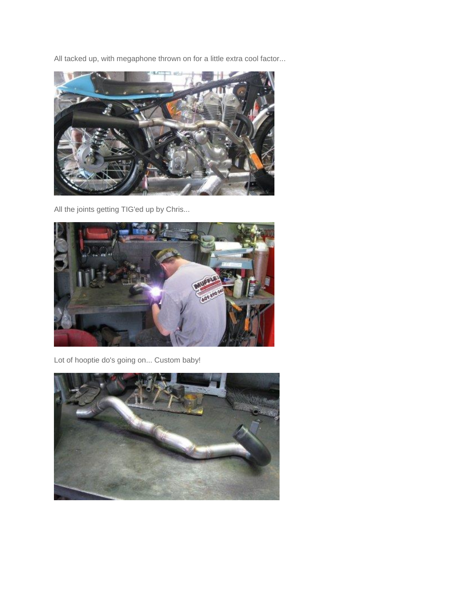All tacked up, with megaphone thrown on for a little extra cool factor...



All the joints getting TIG'ed up by Chris...



Lot of hooptie do's going on... Custom baby!